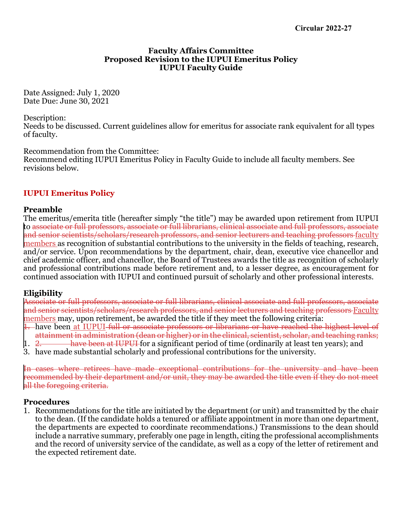#### **Faculty Affairs Committee Proposed Revision to the IUPUI Emeritus Policy IUPUI Faculty Guide**

Date Assigned: July 1, 2020 Date Due: June 30, 2021

Description:

Needs to be discussed. Current guidelines allow for emeritus for associate rank equivalent for all types of faculty.

Recommendation from the Committee:

Recommend editing IUPUI Emeritus Policy in Faculty Guide to include all faculty members. See revisions below.

# **IUPUI Emeritus Policy**

### **Preamble**

The emeritus/emerita title (hereafter simply "the title") may be awarded upon retirement from IUPUI to associate or full professors, associate or full librarians, clinical associate and full professors, associate and senior scientists/scholars/research professors, and senior lecturers and teaching professors faculty members as recognition of substantial contributions to the university in the fields of teaching, research, and/or service. Upon recommendations by the department, chair, dean, executive vice chancellor and chief academic officer, and chancellor, the Board of Trustees awards the title as recognition of scholarly and professional contributions made before retirement and, to a lesser degree, as encouragement for continued association with IUPUI and continued pursuit of scholarly and other professional interests.

### **Eligibility**

Associate or full professors, associate or full librarians, clinical associate and full professors, associate and senior scientists/scholars/research professors, and senior lecturers and teaching professors Faculty members may, upon retirement, be awarded the title if they meet the following criteria:

- 1. have been at IUPUI full or associate professors or librarians or have reached the highest level of attainment in administration (dean or higher) or in the clinical, scientist, scholar, and teaching ranks;<br>1. <del>2. have been at IUPUI</del> for a significant period of time (ordinarily at least ten years); and
- have been at IUPUI for a significant period of time (ordinarily at least ten years); and
- 3. have made substantial scholarly and professional contributions for the university.

In cases where retirees have made exceptional contributions for the university and have been recommended by their department and/or unit, they may be awarded the title even if they do not meet all the foregoing criteria.

### **Procedures**

1. Recommendations for the title are initiated by the department (or unit) and transmitted by the chair to the dean. (If the candidate holds a tenured or affiliate appointment in more than one department, the departments are expected to coordinate recommendations.) Transmissions to the dean should include a narrative summary, preferably one page in length, citing the professional accomplishments and the record of university service of the candidate, as well as a copy of the letter of retirement and the expected retirement date.